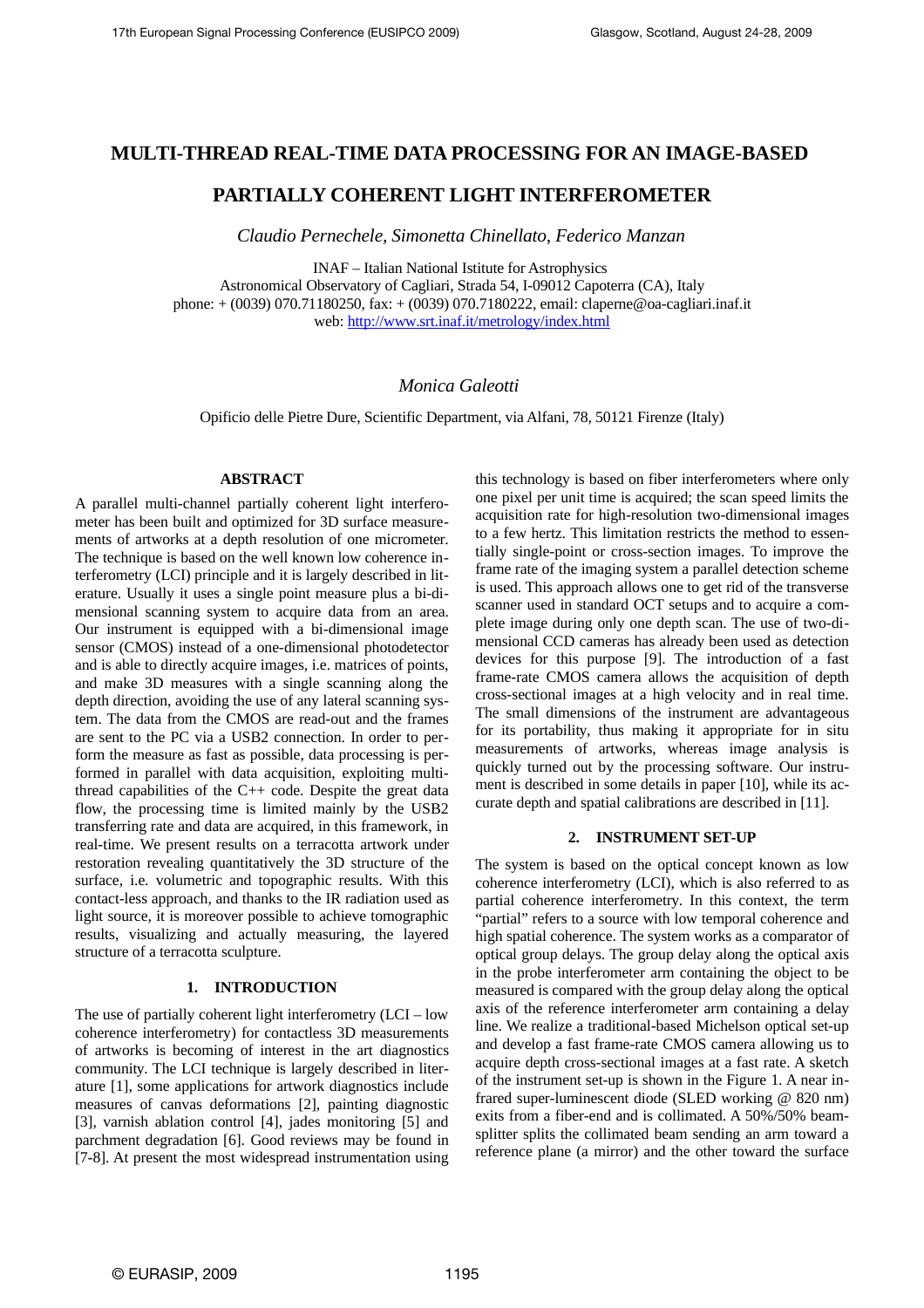# **MULTI-THREAD REAL-TIME DATA PROCESSING FOR AN IMAGE-BASED**

# **PARTIALLY COHERENT LIGHT INTERFEROMETER**

*Claudio Pernechele, Simonetta Chinellato, Federico Manzan*

INAF – Italian National Istitute for Astrophysics Astronomical Observatory of Cagliari, Strada 54, I-09012 Capoterra (CA), Italy phone: + (0039) 070.71180250, fax: + (0039) 070.7180222, email: claperne@oa-cagliari.inaf.it web: <http://www.srt.inaf.it/metrology/index.html>

# *Monica Galeotti*

Opificio delle Pietre Dure, Scientific Department, via Alfani, 78, 50121 Firenze (Italy)

## **ABSTRACT**

A parallel multi-channel partially coherent light interferometer has been built and optimized for 3D surface measurements of artworks at a depth resolution of one micrometer. The technique is based on the well known low coherence interferometry (LCI) principle and it is largely described in literature. Usually it uses a single point measure plus a bi-dimensional scanning system to acquire data from an area. Our instrument is equipped with a bi-dimensional image sensor (CMOS) instead of a one-dimensional photodetector and is able to directly acquire images, i.e. matrices of points, and make 3D measures with a single scanning along the depth direction, avoiding the use of any lateral scanning system. The data from the CMOS are read-out and the frames are sent to the PC via a USB2 connection. In order to perform the measure as fast as possible, data processing is performed in parallel with data acquisition, exploiting multithread capabilities of the C++ code. Despite the great data flow, the processing time is limited mainly by the USB2 transferring rate and data are acquired, in this framework, in real-time. We present results on a terracotta artwork under restoration revealing quantitatively the 3D structure of the surface, i.e. volumetric and topographic results. With this contact-less approach, and thanks to the IR radiation used as light source, it is moreover possible to achieve tomographic results, visualizing and actually measuring, the layered structure of a terracotta sculpture.

# **1. INTRODUCTION**

The use of partially coherent light interferometry (LCI – low coherence interferometry) for contactless 3D measurements of artworks is becoming of interest in the art diagnostics community. The LCI technique is largely described in literature [1], some applications for artwork diagnostics include measures of canvas deformations [2], painting diagnostic [3], varnish ablation control [4], jades monitoring [5] and parchment degradation [6]. Good reviews may be found in [7-8]. At present the most widespread instrumentation using this technology is based on fiber interferometers where only one pixel per unit time is acquired; the scan speed limits the acquisition rate for high-resolution two-dimensional images to a few hertz. This limitation restricts the method to essentially single-point or cross-section images. To improve the frame rate of the imaging system a parallel detection scheme is used. This approach allows one to get rid of the transverse scanner used in standard OCT setups and to acquire a complete image during only one depth scan. The use of two-dimensional CCD cameras has already been used as detection devices for this purpose [9]. The introduction of a fast frame-rate CMOS camera allows the acquisition of depth cross-sectional images at a high velocity and in real time. The small dimensions of the instrument are advantageous for its portability, thus making it appropriate for in situ measurements of artworks, whereas image analysis is quickly turned out by the processing software. Our instrument is described in some details in paper [10], while its accurate depth and spatial calibrations are described in [11].

### **2. INSTRUMENT SET-UP**

The system is based on the optical concept known as low coherence interferometry (LCI), which is also referred to as partial coherence interferometry. In this context, the term "partial" refers to a source with low temporal coherence and high spatial coherence. The system works as a comparator of optical group delays. The group delay along the optical axis in the probe interferometer arm containing the object to be measured is compared with the group delay along the optical axis of the reference interferometer arm containing a delay line. We realize a traditional-based Michelson optical set-up and develop a fast frame-rate CMOS camera allowing us to acquire depth cross-sectional images at a fast rate. A sketch of the instrument set-up is shown in the Figure 1. A near infrared super-luminescent diode (SLED working @ 820 nm) exits from a fiber-end and is collimated. A 50%/50% beamsplitter splits the collimated beam sending an arm toward a reference plane (a mirror) and the other toward the surface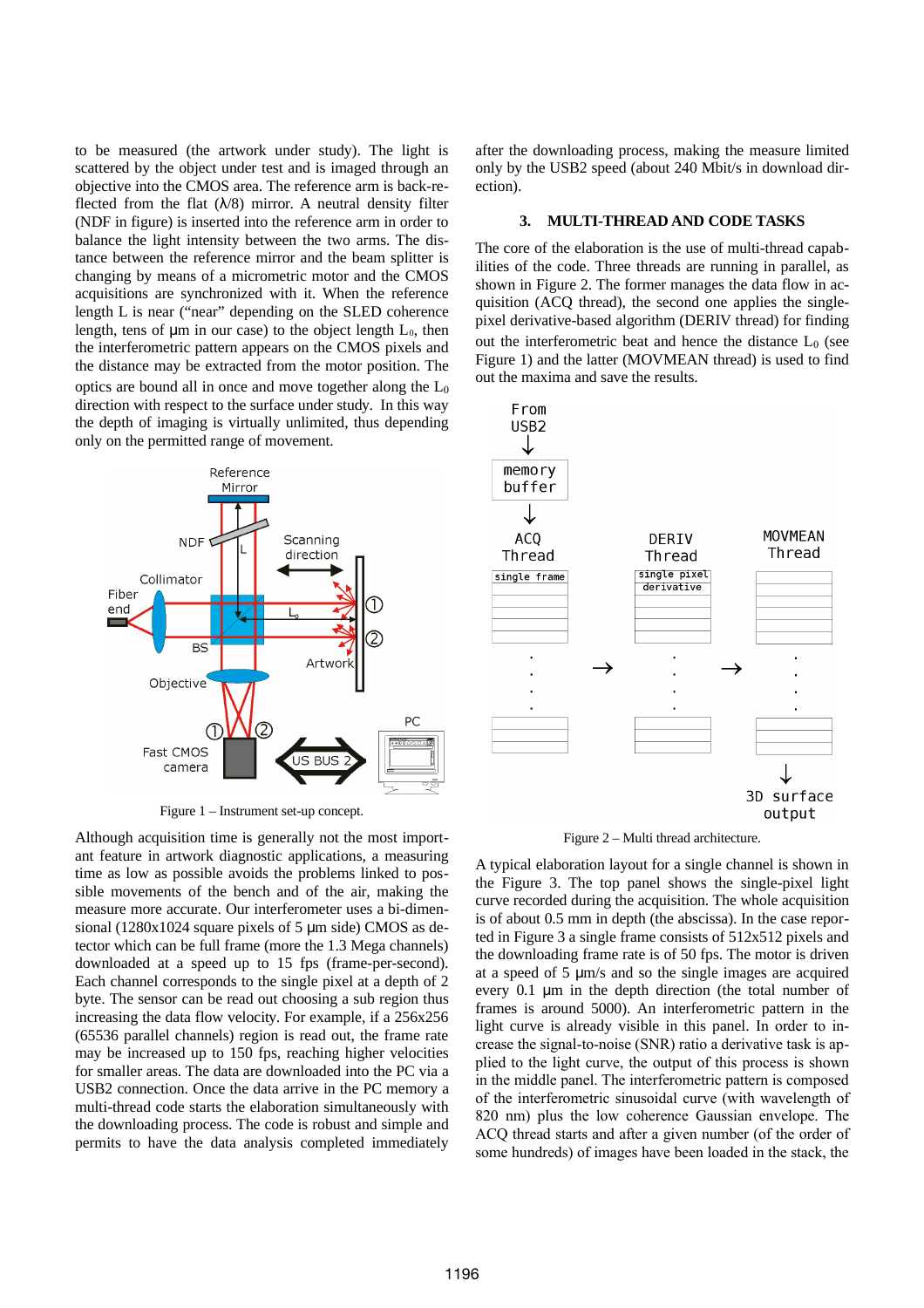to be measured (the artwork under study). The light is scattered by the object under test and is imaged through an objective into the CMOS area. The reference arm is back-reflected from the flat  $(\lambda/8)$  mirror. A neutral density filter (NDF in figure) is inserted into the reference arm in order to balance the light intensity between the two arms. The distance between the reference mirror and the beam splitter is changing by means of a micrometric motor and the CMOS acquisitions are synchronized with it. When the reference length L is near ("near" depending on the SLED coherence length, tens of  $\mu$ m in our case) to the object length  $L_0$ , then the interferometric pattern appears on the CMOS pixels and the distance may be extracted from the motor position. The optics are bound all in once and move together along the  $L_0$ direction with respect to the surface under study. In this way the depth of imaging is virtually unlimited, thus depending only on the permitted range of movement.



Figure 1 – Instrument set-up concept.

Although acquisition time is generally not the most important feature in artwork diagnostic applications, a measuring time as low as possible avoids the problems linked to possible movements of the bench and of the air, making the measure more accurate. Our interferometer uses a bi-dimensional (1280x1024 square pixels of 5 μm side) CMOS as detector which can be full frame (more the 1.3 Mega channels) downloaded at a speed up to 15 fps (frame-per-second). Each channel corresponds to the single pixel at a depth of 2 byte. The sensor can be read out choosing a sub region thus increasing the data flow velocity. For example, if a 256x256 (65536 parallel channels) region is read out, the frame rate may be increased up to 150 fps, reaching higher velocities for smaller areas. The data are downloaded into the PC via a USB2 connection. Once the data arrive in the PC memory a multi-thread code starts the elaboration simultaneously with the downloading process. The code is robust and simple and permits to have the data analysis completed immediately

after the downloading process, making the measure limited only by the USB2 speed (about 240 Mbit/s in download direction).

#### **3. MULTI-THREAD AND CODE TASKS**

The core of the elaboration is the use of multi-thread capabilities of the code. Three threads are running in parallel, as shown in Figure 2. The former manages the data flow in acquisition (ACQ thread), the second one applies the singlepixel derivative-based algorithm (DERIV thread) for finding out the interferometric beat and hence the distance  $L_0$  (see Figure 1) and the latter (MOVMEAN thread) is used to find out the maxima and save the results.



Figure 2 – Multi thread architecture.

A typical elaboration layout for a single channel is shown in the Figure 3. The top panel shows the single-pixel light curve recorded during the acquisition. The whole acquisition is of about 0.5 mm in depth (the abscissa). In the case reported in Figure 3 a single frame consists of 512x512 pixels and the downloading frame rate is of 50 fps. The motor is driven at a speed of 5 μm/s and so the single images are acquired every 0.1 μm in the depth direction (the total number of frames is around 5000). An interferometric pattern in the light curve is already visible in this panel. In order to increase the signal-to-noise (SNR) ratio a derivative task is applied to the light curve, the output of this process is shown in the middle panel. The interferometric pattern is composed of the interferometric sinusoidal curve (with wavelength of 820 nm) plus the low coherence Gaussian envelope. The ACQ thread starts and after a given number (of the order of some hundreds) of images have been loaded in the stack, the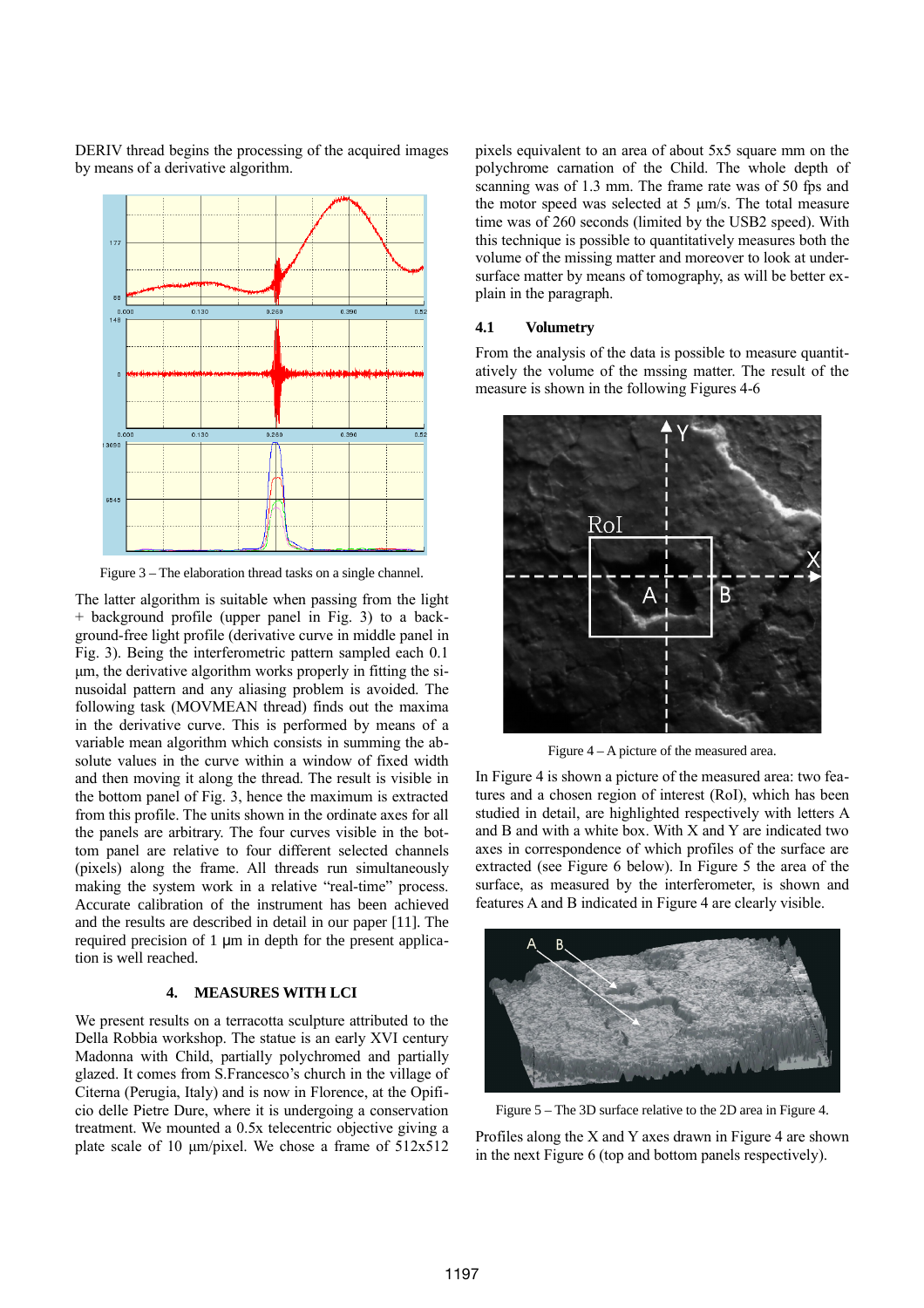

DERIV thread begins the processing of the acquired images by means of a derivative algorithm.

Figure 3 – The elaboration thread tasks on a single channel.

The latter algorithm is suitable when passing from the light + background profile (upper panel in Fig. 3) to a background-free light profile (derivative curve in middle panel in Fig. 3). Being the interferometric pattern sampled each 0.1 μm, the derivative algorithm works properly in fitting the sinusoidal pattern and any aliasing problem is avoided. The following task (MOVMEAN thread) finds out the maxima in the derivative curve. This is performed by means of a variable mean algorithm which consists in summing the absolute values in the curve within a window of fixed width and then moving it along the thread. The result is visible in the bottom panel of Fig. 3, hence the maximum is extracted from this profile. The units shown in the ordinate axes for all the panels are arbitrary. The four curves visible in the bottom panel are relative to four different selected channels (pixels) along the frame. All threads run simultaneously making the system work in a relative "real-time" process. Accurate calibration of the instrument has been achieved and the results are described in detail in our paper [11]. The required precision of 1 μm in depth for the present application is well reached.

## **4. MEASURES WITH LCI**

We present results on a terracotta sculpture attributed to the Della Robbia workshop. The statue is an early XVI century Madonna with Child, partially polychromed and partially glazed. It comes from S.Francesco's church in the village of Citerna (Perugia, Italy) and is now in Florence, at the Opificio delle Pietre Dure, where it is undergoing a conservation treatment. We mounted a 0.5x telecentric objective giving a plate scale of 10 μm/pixel. We chose a frame of 512x512 pixels equivalent to an area of about 5x5 square mm on the polychrome carnation of the Child. The whole depth of scanning was of 1.3 mm. The frame rate was of 50 fps and the motor speed was selected at 5 μm/s. The total measure time was of 260 seconds (limited by the USB2 speed). With this technique is possible to quantitatively measures both the volume of the missing matter and moreover to look at undersurface matter by means of tomography, as will be better explain in the paragraph.

### **4.1 Volumetry**

From the analysis of the data is possible to measure quantitatively the volume of the mssing matter. The result of the measure is shown in the following Figures 4-6



Figure 4 – A picture of the measured area.

In Figure 4 is shown a picture of the measured area: two features and a chosen region of interest (RoI), which has been studied in detail, are highlighted respectively with letters A and B and with a white box. With X and Y are indicated two axes in correspondence of which profiles of the surface are extracted (see Figure 6 below). In Figure 5 the area of the surface, as measured by the interferometer, is shown and features A and B indicated in Figure 4 are clearly visible.



Figure 5 – The 3D surface relative to the 2D area in Figure 4.

Profiles along the X and Y axes drawn in Figure 4 are shown in the next Figure 6 (top and bottom panels respectively).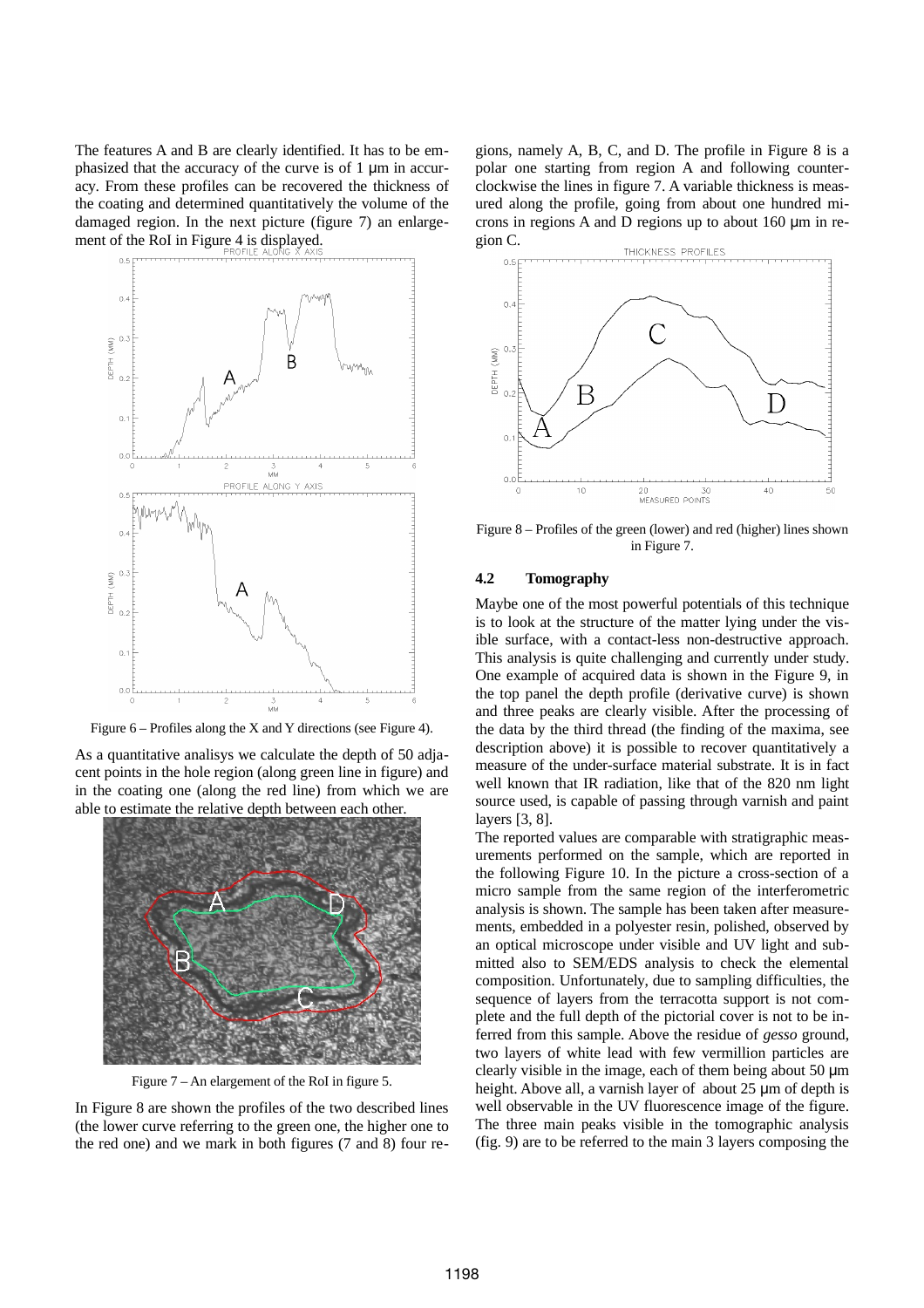The features A and B are clearly identified. It has to be emphasized that the accuracy of the curve is of 1 μm in accuracy. From these profiles can be recovered the thickness of the coating and determined quantitatively the volume of the damaged region. In the next picture (figure 7) an enlargement of the RoI in Figure 4 is displayed.



Figure 6 – Profiles along the X and Y directions (see Figure 4).

As a quantitative analisys we calculate the depth of 50 adjacent points in the hole region (along green line in figure) and in the coating one (along the red line) from which we are able to estimate the relative depth between each other.



Figure 7 – An elargement of the RoI in figure 5.

In Figure 8 are shown the profiles of the two described lines (the lower curve referring to the green one, the higher one to the red one) and we mark in both figures (7 and 8) four regions, namely A, B, C, and D. The profile in Figure 8 is a polar one starting from region A and following counterclockwise the lines in figure 7. A variable thickness is measured along the profile, going from about one hundred microns in regions A and D regions up to about 160 μm in region C.



Figure 8 – Profiles of the green (lower) and red (higher) lines shown in Figure 7.

### **4.2 Tomography**

Maybe one of the most powerful potentials of this technique is to look at the structure of the matter lying under the visible surface, with a contact-less non-destructive approach. This analysis is quite challenging and currently under study. One example of acquired data is shown in the Figure 9, in the top panel the depth profile (derivative curve) is shown and three peaks are clearly visible. After the processing of the data by the third thread (the finding of the maxima, see description above) it is possible to recover quantitatively a measure of the under-surface material substrate. It is in fact well known that IR radiation, like that of the 820 nm light source used, is capable of passing through varnish and paint layers [3, 8].

The reported values are comparable with stratigraphic measurements performed on the sample, which are reported in the following Figure 10. In the picture a cross-section of a micro sample from the same region of the interferometric analysis is shown. The sample has been taken after measurements, embedded in a polyester resin, polished, observed by an optical microscope under visible and UV light and submitted also to SEM/EDS analysis to check the elemental composition. Unfortunately, due to sampling difficulties, the sequence of layers from the terracotta support is not complete and the full depth of the pictorial cover is not to be inferred from this sample. Above the residue of *gesso* ground, two layers of white lead with few vermillion particles are clearly visible in the image, each of them being about 50 μm height. Above all, a varnish layer of about 25 μm of depth is well observable in the UV fluorescence image of the figure. The three main peaks visible in the tomographic analysis (fig. 9) are to be referred to the main 3 layers composing the